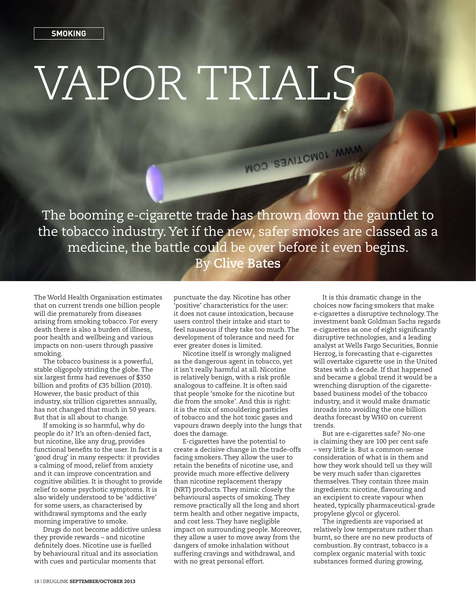## **Smoking**

## VAPOR TRIALS

The booming e-cigarette trade has thrown down the gauntlet to the tobacco industry. Yet if the new, safer smokes are classed as a medicine, the battle could be over before it even begins. By **Clive Bates**

WOO SEALLONOL WAA

The World Health Organisation estimates that on current trends one billion people will die prematurely from diseases arising from smoking tobacco. For every death there is also a burden of illness, poor health and wellbeing and various impacts on non-users through passive smoking.

The tobacco business is a powerful, stable oligopoly striding the globe. The six largest firms had revenues of \$350 billion and profits of £35 billion (2010). However, the basic product of this industry, six trillion cigarettes annually, has not changed that much in 50 years. But that is all about to change.

If smoking is so harmful, why do people do it? It's an often-denied fact, but nicotine, like any drug, provides functional benefits to the user. In fact is a 'good drug' in many respects: it provides a calming of mood, relief from anxiety and it can improve concentration and cognitive abilities. It is thought to provide relief to some psychotic symptoms. It is also widely understood to be 'addictive' for some users, as characterised by withdrawal symptoms and the early morning imperative to smoke.

Drugs do not become addictive unless they provide rewards – and nicotine definitely does. Nicotine use is fuelled by behavioural ritual and its association with cues and particular moments that

punctuate the day. Nicotine has other 'positive' characteristics for the user: it does not cause intoxication, because users control their intake and start to feel nauseous if they take too much. The development of tolerance and need for ever greater doses is limited.

Nicotine itself is wrongly maligned as the dangerous agent in tobacco, yet it isn't really harmful at all. Nicotine is relatively benign, with a risk profile analogous to caffeine. It is often said that people 'smoke for the nicotine but die from the smoke'. And this is right: it is the mix of smouldering particles of tobacco and the hot toxic gases and vapours drawn deeply into the lungs that does the damage.

E-cigarettes have the potential to create a decisive change in the trade-offs facing smokers. They allow the user to retain the benefits of nicotine use, and provide much more effective delivery than nicotine replacement therapy (NRT) products. They mimic closely the behavioural aspects of smoking. They remove practically all the long and short term health and other negative impacts, and cost less. They have negligible impact on surrounding people. Moreover, they allow a user to move away from the dangers of smoke inhalation without suffering cravings and withdrawal, and with no great personal effort.

It is this dramatic change in the choices now facing smokers that make e-cigarettes a disruptive technology. The investment bank Goldman Sachs regards e-cigarettes as one of eight significantly disruptive technologies, and a leading analyst at Wells Fargo Securities, Bonnie Herzog, is forecasting that e-cigarettes will overtake cigarette use in the United States with a decade. If that happened and became a global trend it would be a wrenching disruption of the cigarettebased business model of the tobacco industry, and it would make dramatic inroads into avoiding the one billion deaths forecast by WHO on current trends.

But are e-cigarettes safe? No-one is claiming they are 100 per cent safe – very little is. But a common-sense consideration of what is in them and how they work should tell us they will be very much safer than cigarettes themselves. They contain three main ingredients: nicotine, flavouring and an excipient to create vapour when heated, typically pharmaceutical-grade propylene glycol or glycerol.

The ingredients are vaporised at relatively low temperature rather than burnt, so there are no new products of combustion. By contrast, tobacco is a complex organic material with toxic substances formed during growing,